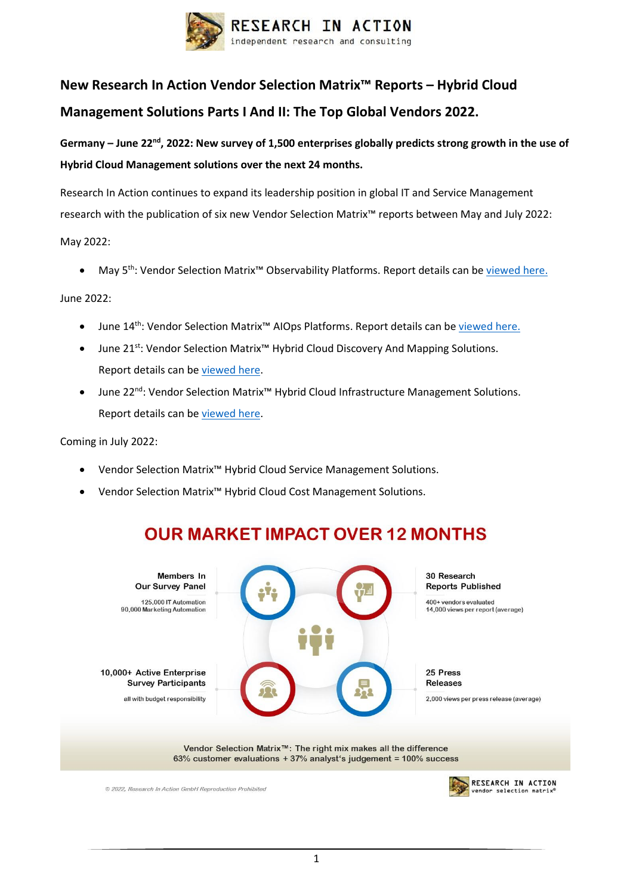

# **New Research In Action Vendor Selection Matrix™ Reports – Hybrid Cloud Management Solutions Parts I And II: The Top Global Vendors 2022.**

**Germany – June 22nd , 2022: New survey of 1,500 enterprises globally predicts strong growth in the use of Hybrid Cloud Management solutions over the next 24 months.**

Research In Action continues to expand its leadership position in global IT and Service Management research with the publication of six new Vendor Selection Matrix™ reports between May and July 2022:

May 2022:

May 5<sup>th</sup>: Vendor Selection Matrix<sup>™</sup> Observability Platforms. Report details can b[e viewed here.](https://researchinaction.de/wp-content/uploads/VSM-OBS-2022-WWW.pdf)

June 2022:

- June 14<sup>th</sup>: Vendor Selection Matrix<sup>™</sup> AIOps Platforms. Report details can b[e viewed here.](https://researchinaction.de/wp-content/uploads/VSM-AIOPS-2022-WWW.pdf)
- June 21st: Vendor Selection Matrix™ Hybrid Cloud Discovery And Mapping Solutions. Report details can b[e viewed here.](https://researchinaction.de/wp-content/uploads/VSM-HCDM-2022-WWW.pdf)
- June 22nd: Vendor Selection Matrix™ Hybrid Cloud Infrastructure Management Solutions. Report details can b[e viewed here.](https://researchinaction.de/wp-content/uploads/VSM-HCIM-2022-WWW.pdf)

Coming in July 2022:

- Vendor Selection Matrix™ Hybrid Cloud Service Management Solutions.
- Vendor Selection Matrix™ Hybrid Cloud Cost Management Solutions.



## **OUR MARKET IMPACT OVER 12 MONTHS**

© 2022. Research In Action GmbH Reproduction Prohibited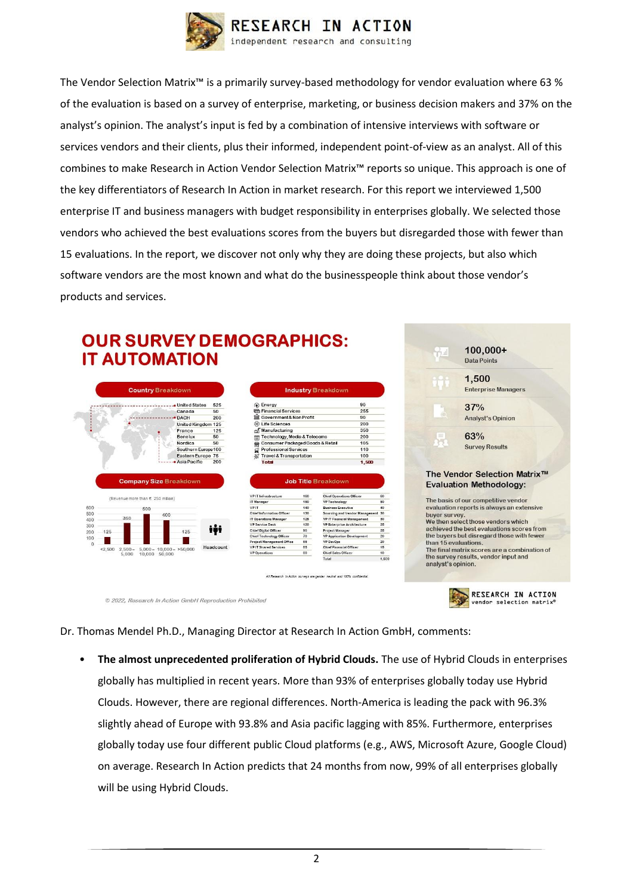

The Vendor Selection Matrix™ is a primarily survey-based methodology for vendor evaluation where 63 % of the evaluation is based on a survey of enterprise, marketing, or business decision makers and 37% on the analyst's opinion. The analyst's input is fed by a combination of intensive interviews with software or services vendors and their clients, plus their informed, independent point-of-view as an analyst. All of this combines to make Research in Action Vendor Selection Matrix™ reports so unique. This approach is one of the key differentiators of Research In Action in market research. For this report we interviewed 1,500 enterprise IT and business managers with budget responsibility in enterprises globally. We selected those vendors who achieved the best evaluations scores from the buyers but disregarded those with fewer than 15 evaluations. In the report, we discover not only why they are doing these projects, but also which software vendors are the most known and what do the businesspeople think about those vendor's products and services.

### **OUR SURVEY DEMOGRAPHICS: IT AUTOMATION**



|                                                  |            | <b>Industry Breakdown</b>                                           |          |
|--------------------------------------------------|------------|---------------------------------------------------------------------|----------|
| (a) Energy                                       | 90         |                                                                     |          |
| <b>Confirmancial Services</b>                    |            | 255                                                                 |          |
| m Government & Non Profit                        |            | 90                                                                  |          |
| <b>CD</b> Life Sciences                          | 200        |                                                                     |          |
| Manufacturing                                    | 350        |                                                                     |          |
| <b>Technology, Media &amp; Telecoms</b><br>न्ति  |            | 200                                                                 |          |
| <b>Consumer Packaged Goods &amp; Retail</b><br>需 |            | 105                                                                 |          |
| <b>Professional Services</b><br>ជ                | 110        |                                                                     |          |
| &/ Travel & Transportation                       | 100        |                                                                     |          |
| Total                                            | 1,500      |                                                                     |          |
|                                                  |            |                                                                     |          |
| <b>VP IT Infrastructure</b>                      | 160        | <b>Chief Operations Officer</b>                                     | 60       |
| IT Manager                                       | 150        | <b>VP Technology</b>                                                | 50       |
| VP IT<br>Chief Information Officer               | 140<br>130 | <b>Rusiness Executive</b>                                           | 40<br>30 |
| <b>IT Operations Manager</b>                     | 125        | Sourcing and Vendor Management<br><b>VP IT Financial Management</b> | 30       |
| <b>VP Service Desk</b>                           | 120        | VP Enterprise Architecture                                          | 25       |
| Chief Digital Officer                            | 90         | Project Manager                                                     | 25       |
| Chief Technology Officer                         | 70         | VP Application Development                                          | 20       |
| Project Management Office                        | 65         | VP DevOps                                                           | 20       |
| <b>VP IT Shared Services</b>                     | 65         | Chief Financial Officer                                             | 15       |
| <b>VP Operations</b>                             | 60         | Chief Sales Officer                                                 | 10       |
|                                                  |            | Total                                                               | 1.500    |

All Research in Action surveys are gender neutral and 100% confidential



© 2022, Research In Action GmbH Reproduction Prohibited

Dr. Thomas Mendel Ph.D., Managing Director at Research In Action GmbH, comments:

• **The almost unprecedented proliferation of Hybrid Clouds.** The use of Hybrid Clouds in enterprises globally has multiplied in recent years. More than 93% of enterprises globally today use Hybrid Clouds. However, there are regional differences. North-America is leading the pack with 96.3% slightly ahead of Europe with 93.8% and Asia pacific lagging with 85%. Furthermore, enterprises globally today use four different public Cloud platforms (e.g., AWS, Microsoft Azure, Google Cloud) on average. Research In Action predicts that 24 months from now, 99% of all enterprises globally will be using Hybrid Clouds.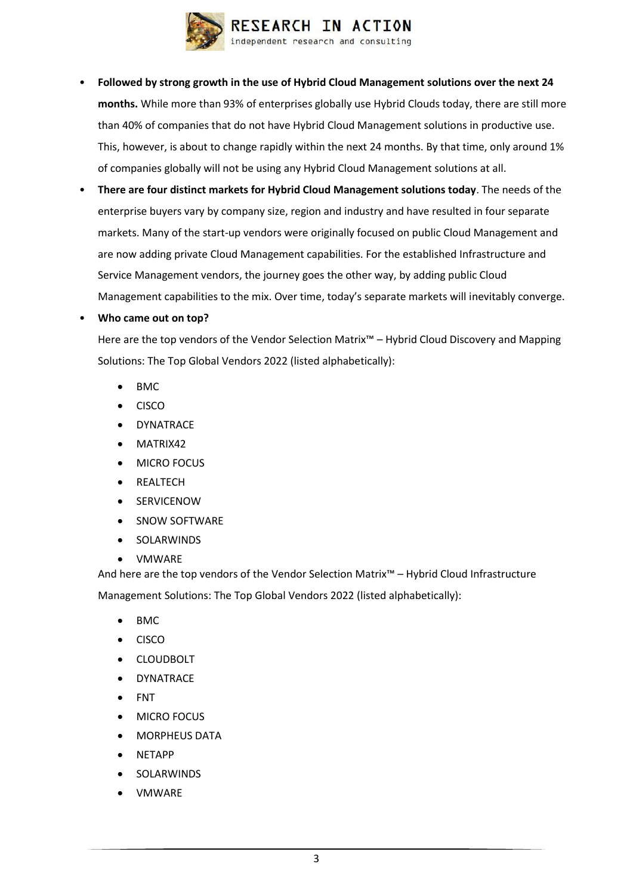

- **Followed by strong growth in the use of Hybrid Cloud Management solutions over the next 24 months.** While more than 93% of enterprises globally use Hybrid Clouds today, there are still more than 40% of companies that do not have Hybrid Cloud Management solutions in productive use. This, however, is about to change rapidly within the next 24 months. By that time, only around 1% of companies globally will not be using any Hybrid Cloud Management solutions at all.
- **There are four distinct markets for Hybrid Cloud Management solutions today**. The needs of the enterprise buyers vary by company size, region and industry and have resulted in four separate markets. Many of the start-up vendors were originally focused on public Cloud Management and are now adding private Cloud Management capabilities. For the established Infrastructure and Service Management vendors, the journey goes the other way, by adding public Cloud Management capabilities to the mix. Over time, today's separate markets will inevitably converge.

### • **Who came out on top?**

Here are the top vendors of the Vendor Selection Matrix™ – Hybrid Cloud Discovery and Mapping Solutions: The Top Global Vendors 2022 (listed alphabetically):

- BMC
- CISCO
- **DYNATRACE**
- MATRIX42
- MICRO FOCUS
- **REALTECH**
- **SERVICENOW**
- SNOW SOFTWARE
- **SOLARWINDS**
- VMWARE

And here are the top vendors of the Vendor Selection Matrix™ – Hybrid Cloud Infrastructure Management Solutions: The Top Global Vendors 2022 (listed alphabetically):

- BMC
- CISCO
- **CLOUDBOLT**
- **DYNATRACE**
- FNT
- MICRO FOCUS
- MORPHEUS DATA
- NETAPP
- **SOLARWINDS**
- VMWARE